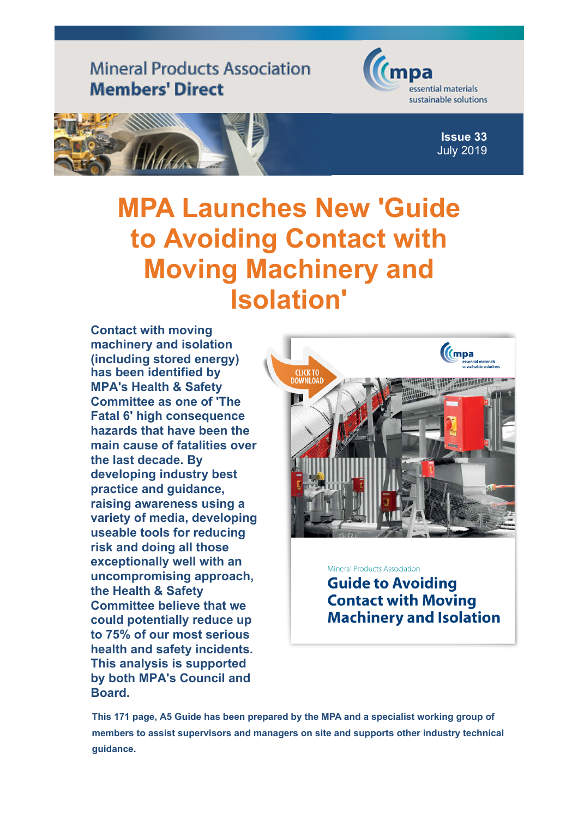## **Mineral Products Association Members' Direct**





**Issue 33** July 2019

## **MPA Launches Ne[w 'Guide](http://www.mineralproducts.org/) to Avoiding Contact with Moving Machinery and Isolation'**

**Contact with moving machinery and isolation (including stored energy) has been identified by MPA's Health & Safety Committee as one of 'The Fatal 6' high consequence hazards that have been the main cause of fatalities over the last decade. By developing industry best practice and guidance, raising awareness using a variety of media, developing useable tools for reducing risk and doing all those exceptionally well with an uncompromising approach, the Health & Safety Committee believe that we could potentially reduce up to 75% of our most serious health and safety incidents. This analysis is supported by both MPA's Council and Board.**



**Mineral Products Association Guide to Avoiding Contact with Moving Machinery and Isolation** 

**This 171 page, A5 Guide has been prepared by the MPA and a specialist working group of members to assist supervisors and managers on site and supports other industry technical guidance.**